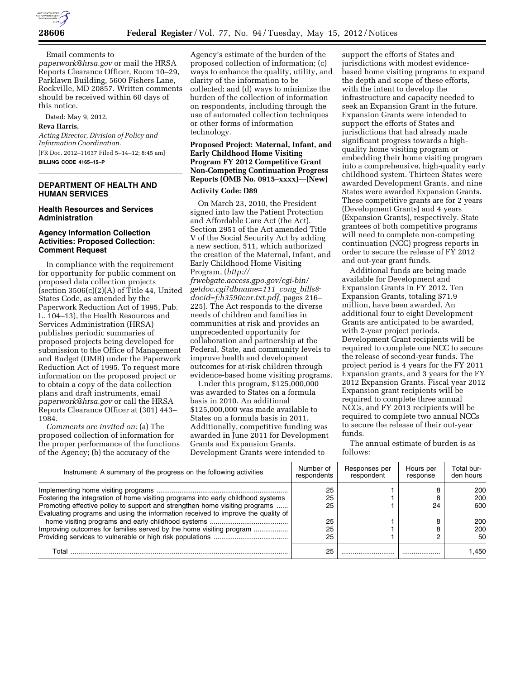

Email comments to

*[paperwork@hrsa.gov](mailto:paperwork@hrsa.gov)* or mail the HRSA Reports Clearance Officer, Room 10–29, Parklawn Building, 5600 Fishers Lane, Rockville, MD 20857. Written comments should be received within 60 days of this notice.

Dated: May 9, 2012.

## **Reva Harris,**

*Acting Director, Division of Policy and Information Coordination.*  [FR Doc. 2012–11637 Filed 5–14–12; 8:45 am]

**BILLING CODE 4165–15–P** 

#### **DEPARTMENT OF HEALTH AND HUMAN SERVICES**

#### **Health Resources and Services Administration**

#### **Agency Information Collection Activities: Proposed Collection: Comment Request**

In compliance with the requirement for opportunity for public comment on proposed data collection projects  $\overline{\text{(section 3506(c)(2)(A) of Title 44, United)}}$ States Code, as amended by the Paperwork Reduction Act of 1995, Pub. L. 104–13), the Health Resources and Services Administration (HRSA) publishes periodic summaries of proposed projects being developed for submission to the Office of Management and Budget (OMB) under the Paperwork Reduction Act of 1995. To request more information on the proposed project or to obtain a copy of the data collection plans and draft instruments, email *[paperwork@hrsa.gov](mailto:paperwork@hrsa.gov)* or call the HRSA Reports Clearance Officer at (301) 443– 1984.

*Comments are invited on:* (a) The proposed collection of information for the proper performance of the functions of the Agency; (b) the accuracy of the

Agency's estimate of the burden of the proposed collection of information; (c) ways to enhance the quality, utility, and clarity of the information to be collected; and (d) ways to minimize the burden of the collection of information on respondents, including through the use of automated collection techniques or other forms of information technology.

## **Proposed Project: Maternal, Infant, and Early Childhood Home Visiting Program FY 2012 Competitive Grant Non-Competing Continuation Progress Reports (OMB No. 0915–xxxx)—[New]**

#### **Activity Code: D89**

On March 23, 2010, the President signed into law the Patient Protection and Affordable Care Act (the Act). Section 2951 of the Act amended Title V of the Social Security Act by adding a new section, 511, which authorized the creation of the Maternal, Infant, and Early Childhood Home Visiting Program, (*[http://](http://frwebgate.access.gpo.gov/cgi-bin/getdoc.cgi?dbname=111_cong_bills&docid=f:h3590enr.txt.pdf)*

*[frwebgate.access.gpo.gov/cgi-bin/](http://frwebgate.access.gpo.gov/cgi-bin/getdoc.cgi?dbname=111_cong_bills&docid=f:h3590enr.txt.pdf) [getdoc.cgi?dbname=111](http://frwebgate.access.gpo.gov/cgi-bin/getdoc.cgi?dbname=111_cong_bills&docid=f:h3590enr.txt.pdf)*\_*cong*\_*bills& [docid=f:h3590enr.txt.pdf,](http://frwebgate.access.gpo.gov/cgi-bin/getdoc.cgi?dbname=111_cong_bills&docid=f:h3590enr.txt.pdf)* pages 216– 225). The Act responds to the diverse needs of children and families in communities at risk and provides an unprecedented opportunity for collaboration and partnership at the Federal, State, and community levels to improve health and development outcomes for at-risk children through evidence-based home visiting programs.

Under this program, \$125,000,000 was awarded to States on a formula basis in 2010. An additional \$125,000,000 was made available to States on a formula basis in 2011. Additionally, competitive funding was awarded in June 2011 for Development Grants and Expansion Grants. Development Grants were intended to

support the efforts of States and jurisdictions with modest evidencebased home visiting programs to expand the depth and scope of these efforts, with the intent to develop the infrastructure and capacity needed to seek an Expansion Grant in the future. Expansion Grants were intended to support the efforts of States and jurisdictions that had already made significant progress towards a highquality home visiting program or embedding their home visiting program into a comprehensive, high-quality early childhood system. Thirteen States were awarded Development Grants, and nine States were awarded Expansion Grants. These competitive grants are for 2 years (Development Grants) and 4 years (Expansion Grants), respectively. State grantees of both competitive programs will need to complete non-competing continuation (NCC) progress reports in order to secure the release of FY 2012 and out-year grant funds.

Additional funds are being made available for Development and Expansion Grants in FY 2012. Ten Expansion Grants, totaling \$71.9 million, have been awarded. An additional four to eight Development Grants are anticipated to be awarded, with 2-year project periods. Development Grant recipients will be required to complete one NCC to secure the release of second-year funds. The project period is 4 years for the FY 2011 Expansion grants, and 3 years for the FY 2012 Expansion Grants. Fiscal year 2012 Expansion grant recipients will be required to complete three annual NCCs, and FY 2013 recipients will be required to complete two annual NCCs to secure the release of their out-year funds.

The annual estimate of burden is as follows:

| Instrument: A summary of the progress on the following activities                | Number of<br>respondents | Responses per<br>respondent | Hours per<br>response | Total bur-<br>den hours |
|----------------------------------------------------------------------------------|--------------------------|-----------------------------|-----------------------|-------------------------|
|                                                                                  | 25                       |                             |                       | 200                     |
| Fostering the integration of home visiting programs into early childhood systems | 25                       |                             |                       | 200                     |
| Promoting effective policy to support and strengthen home visiting programs      | 25                       |                             | 24                    | 600                     |
| Evaluating programs and using the information received to improve the quality of |                          |                             |                       |                         |
|                                                                                  | 25                       |                             |                       | 200                     |
| Improving outcomes for families served by the home visiting program              | 25                       |                             |                       | 200                     |
|                                                                                  | 25                       |                             |                       | 50                      |
| Total                                                                            | 25                       |                             |                       | 1.450                   |